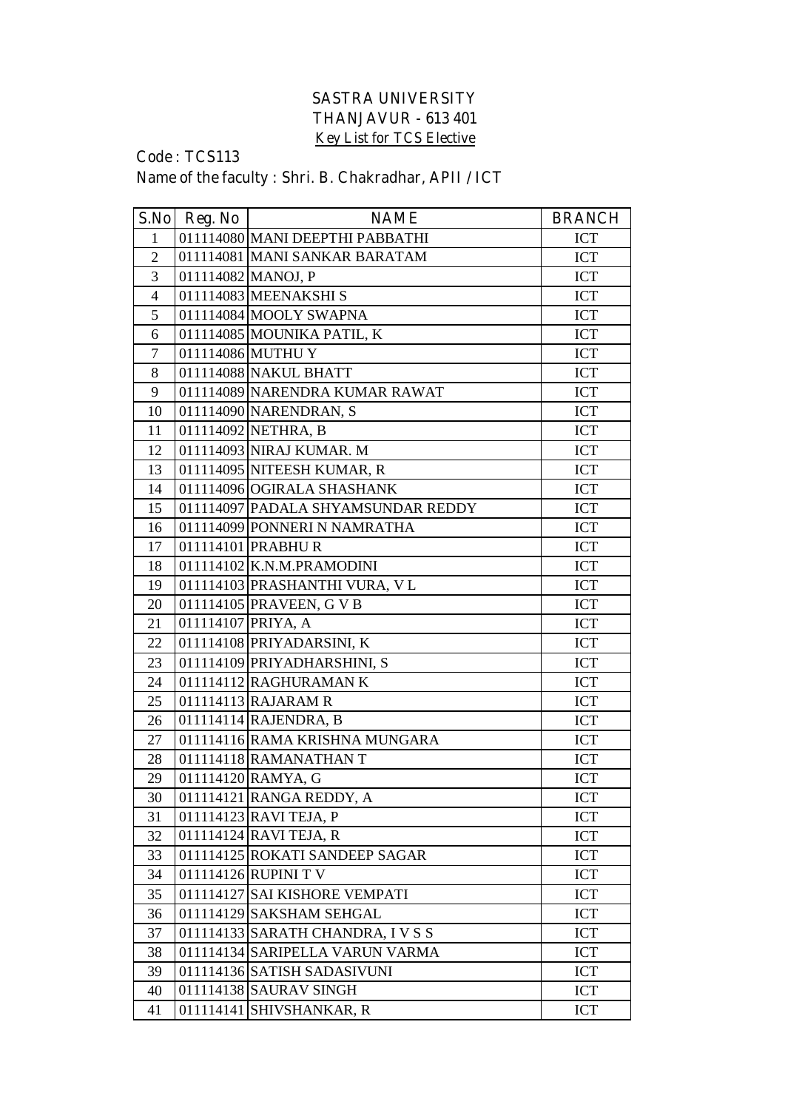## **SASTRA UNIVERSITY THANJAVUR - 613 401 Key List for TCS Elective**

## **Code : TCS113 Name of the faculty : Shri. B. Chakradhar, APII / ICT**

| S.No           | Reg. No            | <b>NAME</b>                        | <b>BRANCH</b> |
|----------------|--------------------|------------------------------------|---------------|
| $\mathbf{1}$   |                    | 011114080 MANI DEEPTHI PABBATHI    | ICT           |
| $\overline{2}$ |                    | 011114081 MANI SANKAR BARATAM      | ICT           |
| 3              |                    | 011114082 MANOJ, P                 | ICT           |
| $\overline{4}$ |                    | 011114083 MEENAKSHIS               | <b>ICT</b>    |
| 5              |                    | 011114084 MOOLY SWAPNA             | <b>ICT</b>    |
| 6              |                    | 011114085 MOUNIKA PATIL, K         | <b>ICT</b>    |
| $\tau$         |                    | 011114086 MUTHU Y                  | ICT           |
| 8              |                    | 011114088 NAKUL BHATT              | ICT           |
| 9              |                    | 011114089 NARENDRA KUMAR RAWAT     | <b>ICT</b>    |
| 10             |                    | 011114090 NARENDRAN, S             | ICT           |
| 11             |                    | 011114092 NETHRA, B                | ICT           |
| 12             |                    | 011114093 NIRAJ KUMAR. M           | ICT           |
| 13             |                    | 011114095 NITEESH KUMAR, R         | <b>ICT</b>    |
| 14             |                    | 011114096 OGIRALA SHASHANK         | <b>ICT</b>    |
| 15             |                    | 011114097 PADALA SHYAMSUNDAR REDDY | <b>ICT</b>    |
| 16             |                    | 011114099 PONNERI N NAMRATHA       | ICT           |
| 17             |                    | 011114101 PRABHUR                  | ICT           |
| 18             |                    | 011114102 K.N.M.PRAMODINI          | <b>ICT</b>    |
| 19             |                    | 011114103 PRASHANTHI VURA, VL      | <b>ICT</b>    |
| 20             |                    | 011114105 PRAVEEN, G V B           | ICT           |
| 21             | 011114107 PRIYA, A |                                    | ICT           |
| 22             |                    | 011114108 PRIYADARSINI, K          | <b>ICT</b>    |
| 23             |                    | 011114109 PRIYADHARSHINI, S        | <b>ICT</b>    |
| 24             |                    | 011114112 RAGHURAMAN K             | ICT           |
| 25             |                    | $011114113$ RAJARAM R              | <b>ICT</b>    |
| 26             |                    | 011114114 RAJENDRA, B              | ICT           |
| 27             |                    | 011114116 RAMA KRISHNA MUNGARA     | ICT           |
| 28             |                    | 011114118 RAMANATHAN T             | <b>ICT</b>    |
| 29             |                    | 011114120 RAMYA, G                 | <b>ICT</b>    |
| 30             |                    | 011114121 RANGA REDDY, A           | <b>ICT</b>    |
| 31             |                    | 011114123 RAVI TEJA, P             | <b>ICT</b>    |
| 32             |                    | 011114124 RAVI TEJA, R             | ICT           |
| 33             |                    | 011114125 ROKATI SANDEEP SAGAR     | ICT           |
| 34             |                    | 011114126 RUPINI TV                | <b>ICT</b>    |
| 35             |                    | 011114127 SAI KISHORE VEMPATI      | ICT           |
| 36             |                    | 011114129 SAKSHAM SEHGAL           | ICT           |
| 37             |                    | 011114133 SARATH CHANDRA, I V S S  | ICT           |
| 38             |                    | 011114134 SARIPELLA VARUN VARMA    | ICT           |
| 39             |                    | 011114136 SATISH SADASIVUNI        | <b>ICT</b>    |
| 40             |                    | 011114138 SAURAV SINGH             | <b>ICT</b>    |
| 41             |                    | 011114141 SHIVSHANKAR, R           | ICT           |